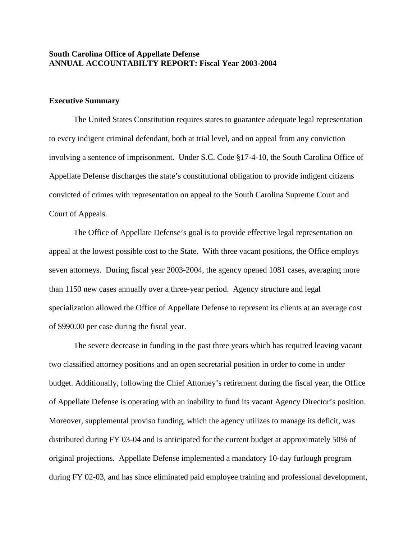### **South Carolina Office of Appellate Defense ANNUAL ACCOUNTABILTY REPORT: Fiscal Year 2003-2004**

#### **Executive Summary**

The United States Constitution requires states to guarantee adequate legal representation to every indigent criminal defendant, both at trial level, and on appeal from any conviction involving a sentence of imprisonment. Under S.C. Code §17-4-10, the South Carolina Office of Appellate Defense discharges the state's constitutional obligation to provide indigent citizens convicted of crimes with representation on appeal to the South Carolina Supreme Court and Court of Appeals.

The Office of Appellate Defense's goal is to provide effective legal representation on appeal at the lowest possible cost to the State. With three vacant positions, the Office employs seven attorneys. During fiscal year 2003-2004, the agency opened 1081 cases, averaging more than 1150 new cases annually over a three-year period. Agency structure and legal specialization allowed the Office of Appellate Defense to represent its clients at an average cost of \$990.00 per case during the fiscal year.

The severe decrease in funding in the past three years which has required leaving vacant two classified attorney positions and an open secretarial position in order to come in under budget. Additionally, following the Chief Attorney's retirement during the fiscal year, the Office of Appellate Defense is operating with an inability to fund its vacant Agency Director's position. Moreover, supplemental proviso funding, which the agency utilizes to manage its deficit, was distributed during FY 03-04 and is anticipated for the current budget at approximately 50% of original projections. Appellate Defense implemented a mandatory 10-day furlough program during FY 02-03, and has since eliminated paid employee training and professional development,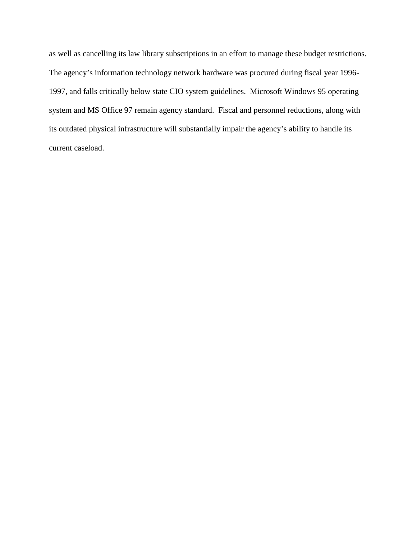as well as cancelling its law library subscriptions in an effort to manage these budget restrictions. The agency's information technology network hardware was procured during fiscal year 1996- 1997, and falls critically below state CIO system guidelines. Microsoft Windows 95 operating system and MS Office 97 remain agency standard. Fiscal and personnel reductions, along with its outdated physical infrastructure will substantially impair the agency's ability to handle its current caseload.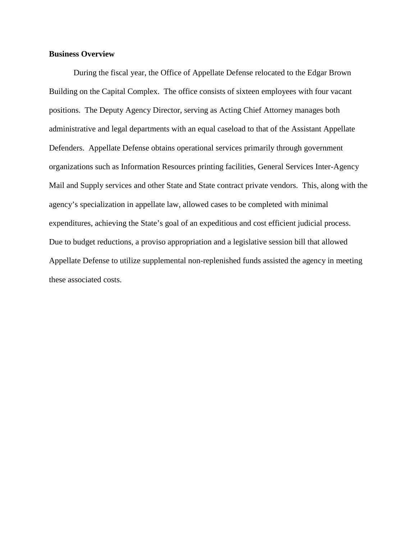### **Business Overview**

During the fiscal year, the Office of Appellate Defense relocated to the Edgar Brown Building on the Capital Complex. The office consists of sixteen employees with four vacant positions. The Deputy Agency Director, serving as Acting Chief Attorney manages both administrative and legal departments with an equal caseload to that of the Assistant Appellate Defenders. Appellate Defense obtains operational services primarily through government organizations such as Information Resources printing facilities, General Services Inter-Agency Mail and Supply services and other State and State contract private vendors. This, along with the agency's specialization in appellate law, allowed cases to be completed with minimal expenditures, achieving the State's goal of an expeditious and cost efficient judicial process. Due to budget reductions, a proviso appropriation and a legislative session bill that allowed Appellate Defense to utilize supplemental non-replenished funds assisted the agency in meeting these associated costs.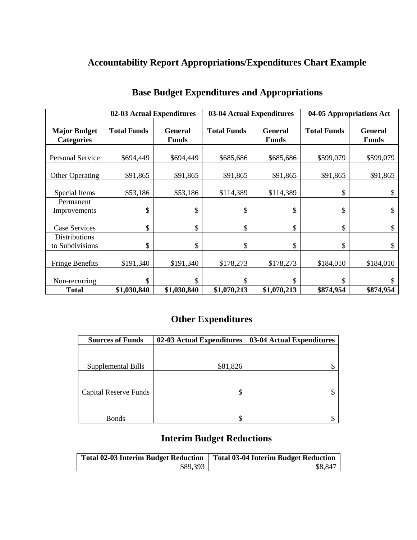# **Accountability Report Appropriations/Expenditures Chart Example**

|                                          | 02-03 Actual Expenditures |                                |                    | 03-04 Actual Expenditures      |                    | 04-05 Appropriations Act       |
|------------------------------------------|---------------------------|--------------------------------|--------------------|--------------------------------|--------------------|--------------------------------|
| <b>Major Budget</b><br><b>Categories</b> | <b>Total Funds</b>        | <b>General</b><br><b>Funds</b> | <b>Total Funds</b> | <b>General</b><br><b>Funds</b> | <b>Total Funds</b> | <b>General</b><br><b>Funds</b> |
| <b>Personal Service</b>                  | \$694,449                 | \$694,449                      | \$685,686          | \$685,686                      | \$599,079          | \$599,079                      |
| <b>Other Operating</b>                   | \$91,865                  | \$91,865                       | \$91,865           | \$91,865                       | \$91,865           | \$91,865                       |
| Special Items                            | \$53,186                  | \$53,186                       | \$114,389          | \$114,389                      | \$                 |                                |
| Permanent<br>Improvements                | \$                        | \$                             | \$                 | \$                             | \$                 | \$                             |
| <b>Case Services</b>                     | \$                        | \$                             | \$                 | \$                             | \$                 | \$                             |
| <b>Distributions</b><br>to Subdivisions  | \$                        | \$                             | \$                 | \$                             | \$                 | \$                             |
| <b>Fringe Benefits</b>                   | \$191,340                 | \$191,340                      | \$178,273          | \$178,273                      | \$184,010          | \$184,010                      |
| Non-recurring                            | \$                        | \$                             | \$                 | \$                             | \$                 |                                |
| <b>Total</b>                             | \$1,030,840               | \$1,030,840                    | \$1,070,213        | \$1,070,213                    | \$874,954          | \$874,954                      |

# **Base Budget Expenditures and Appropriations**

# **Other Expenditures**

| <b>Sources of Funds</b>      | 02-03 Actual Expenditures | 03-04 Actual Expenditures |  |
|------------------------------|---------------------------|---------------------------|--|
|                              |                           |                           |  |
|                              |                           |                           |  |
| Supplemental Bills           | \$81,826                  |                           |  |
|                              |                           |                           |  |
| <b>Capital Reserve Funds</b> | \$                        |                           |  |
|                              |                           |                           |  |
| <b>Bonds</b>                 | \$                        |                           |  |

# **Interim Budget Reductions**

| <b>Total 02-03 Interim Budget Reduction</b> | <b>Total 03-04 Interim Budget Reduction</b> |
|---------------------------------------------|---------------------------------------------|
| \$89,393                                    | \$8,847                                     |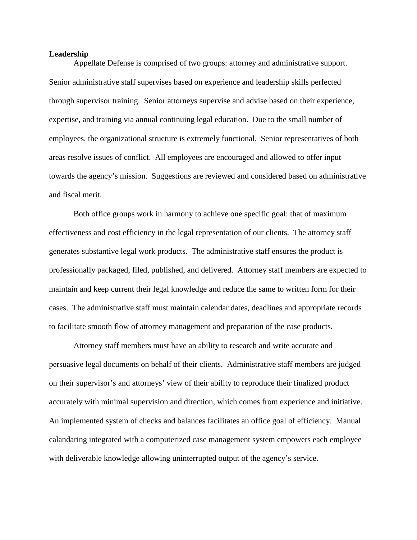#### **Leadership**

Appellate Defense is comprised of two groups: attorney and administrative support. Senior administrative staff supervises based on experience and leadership skills perfected through supervisor training. Senior attorneys supervise and advise based on their experience, expertise, and training via annual continuing legal education. Due to the small number of employees, the organizational structure is extremely functional. Senior representatives of both areas resolve issues of conflict. All employees are encouraged and allowed to offer input towards the agency's mission. Suggestions are reviewed and considered based on administrative and fiscal merit.

Both office groups work in harmony to achieve one specific goal: that of maximum effectiveness and cost efficiency in the legal representation of our clients. The attorney staff generates substantive legal work products. The administrative staff ensures the product is professionally packaged, filed, published, and delivered. Attorney staff members are expected to maintain and keep current their legal knowledge and reduce the same to written form for their cases. The administrative staff must maintain calendar dates, deadlines and appropriate records to facilitate smooth flow of attorney management and preparation of the case products.

Attorney staff members must have an ability to research and write accurate and persuasive legal documents on behalf of their clients. Administrative staff members are judged on their supervisor's and attorneys' view of their ability to reproduce their finalized product accurately with minimal supervision and direction, which comes from experience and initiative. An implemented system of checks and balances facilitates an office goal of efficiency. Manual calandaring integrated with a computerized case management system empowers each employee with deliverable knowledge allowing uninterrupted output of the agency's service.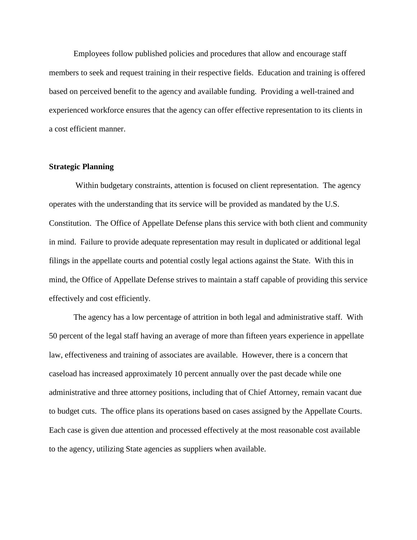Employees follow published policies and procedures that allow and encourage staff members to seek and request training in their respective fields. Education and training is offered based on perceived benefit to the agency and available funding. Providing a well-trained and experienced workforce ensures that the agency can offer effective representation to its clients in a cost efficient manner.

#### **Strategic Planning**

Within budgetary constraints, attention is focused on client representation. The agency operates with the understanding that its service will be provided as mandated by the U.S. Constitution. The Office of Appellate Defense plans this service with both client and community in mind. Failure to provide adequate representation may result in duplicated or additional legal filings in the appellate courts and potential costly legal actions against the State. With this in mind, the Office of Appellate Defense strives to maintain a staff capable of providing this service effectively and cost efficiently.

The agency has a low percentage of attrition in both legal and administrative staff. With 50 percent of the legal staff having an average of more than fifteen years experience in appellate law, effectiveness and training of associates are available. However, there is a concern that caseload has increased approximately 10 percent annually over the past decade while one administrative and three attorney positions, including that of Chief Attorney, remain vacant due to budget cuts. The office plans its operations based on cases assigned by the Appellate Courts. Each case is given due attention and processed effectively at the most reasonable cost available to the agency, utilizing State agencies as suppliers when available.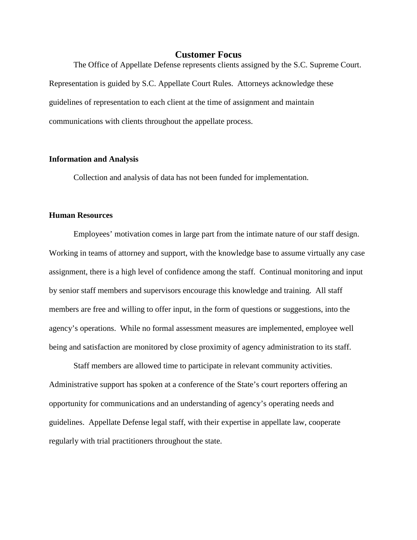### **Customer Focus**

The Office of Appellate Defense represents clients assigned by the S.C. Supreme Court. Representation is guided by S.C. Appellate Court Rules. Attorneys acknowledge these guidelines of representation to each client at the time of assignment and maintain communications with clients throughout the appellate process.

#### **Information and Analysis**

Collection and analysis of data has not been funded for implementation.

#### **Human Resources**

Employees' motivation comes in large part from the intimate nature of our staff design. Working in teams of attorney and support, with the knowledge base to assume virtually any case assignment, there is a high level of confidence among the staff. Continual monitoring and input by senior staff members and supervisors encourage this knowledge and training. All staff members are free and willing to offer input, in the form of questions or suggestions, into the agency's operations. While no formal assessment measures are implemented, employee well being and satisfaction are monitored by close proximity of agency administration to its staff.

Staff members are allowed time to participate in relevant community activities. Administrative support has spoken at a conference of the State's court reporters offering an opportunity for communications and an understanding of agency's operating needs and guidelines. Appellate Defense legal staff, with their expertise in appellate law, cooperate regularly with trial practitioners throughout the state.